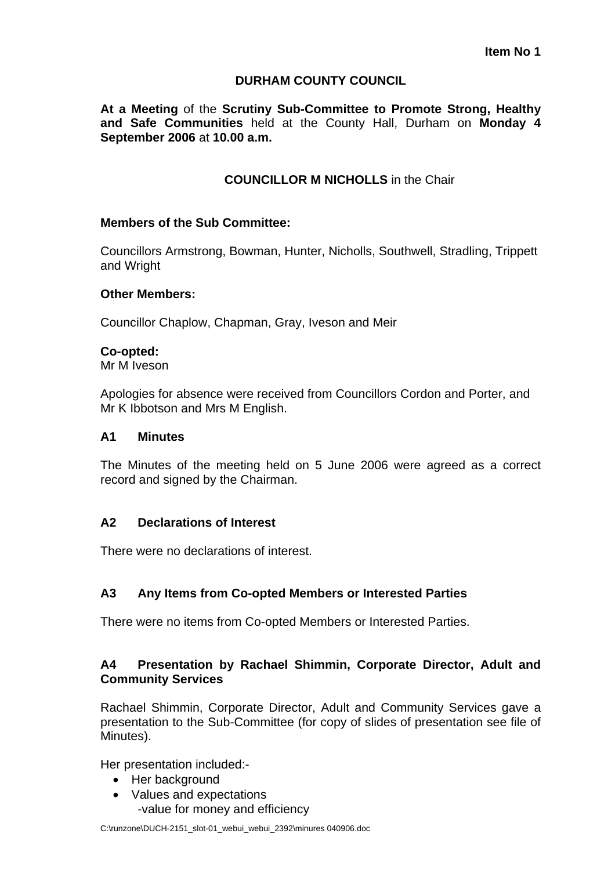# **DURHAM COUNTY COUNCIL**

**At a Meeting** of the **Scrutiny Sub-Committee to Promote Strong, Healthy and Safe Communities** held at the County Hall, Durham on **Monday 4 September 2006** at **10.00 a.m.** 

# **COUNCILLOR M NICHOLLS** in the Chair

### **Members of the Sub Committee:**

Councillors Armstrong, Bowman, Hunter, Nicholls, Southwell, Stradling, Trippett and Wright

### **Other Members:**

Councillor Chaplow, Chapman, Gray, Iveson and Meir

#### **Co-opted:**

Mr M Iveson

Apologies for absence were received from Councillors Cordon and Porter, and Mr K Ibbotson and Mrs M English.

#### **A1 Minutes**

The Minutes of the meeting held on 5 June 2006 were agreed as a correct record and signed by the Chairman.

### **A2 Declarations of Interest**

There were no declarations of interest.

# **A3 Any Items from Co-opted Members or Interested Parties**

There were no items from Co-opted Members or Interested Parties.

## **A4 Presentation by Rachael Shimmin, Corporate Director, Adult and Community Services**

Rachael Shimmin, Corporate Director, Adult and Community Services gave a presentation to the Sub-Committee (for copy of slides of presentation see file of Minutes).

Her presentation included:-

- Her background
- Values and expectations -value for money and efficiency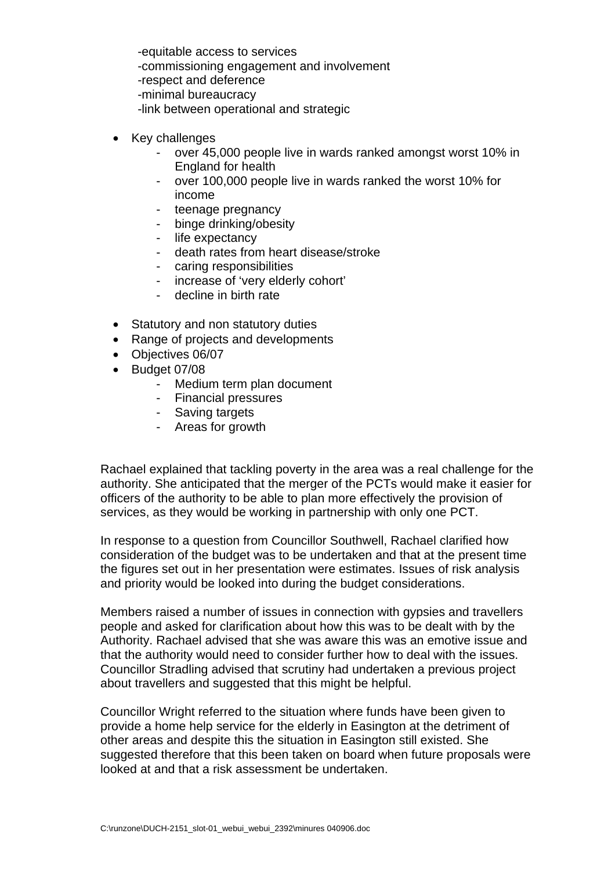-equitable access to services -commissioning engagement and involvement -respect and deference -minimal bureaucracy -link between operational and strategic

- Key challenges
	- over 45,000 people live in wards ranked amongst worst 10% in England for health
	- over 100,000 people live in wards ranked the worst 10% for income
	- teenage pregnancy
	- binge drinking/obesity
	- life expectancy
	- death rates from heart disease/stroke
	- caring responsibilities
	- increase of 'very elderly cohort'
	- decline in birth rate
- Statutory and non statutory duties
- Range of projects and developments
- Objectives 06/07
- Budget 07/08
	- Medium term plan document
	- Financial pressures
	- Saving targets
	- Areas for growth

Rachael explained that tackling poverty in the area was a real challenge for the authority. She anticipated that the merger of the PCTs would make it easier for officers of the authority to be able to plan more effectively the provision of services, as they would be working in partnership with only one PCT.

In response to a question from Councillor Southwell, Rachael clarified how consideration of the budget was to be undertaken and that at the present time the figures set out in her presentation were estimates. Issues of risk analysis and priority would be looked into during the budget considerations.

Members raised a number of issues in connection with gypsies and travellers people and asked for clarification about how this was to be dealt with by the Authority. Rachael advised that she was aware this was an emotive issue and that the authority would need to consider further how to deal with the issues. Councillor Stradling advised that scrutiny had undertaken a previous project about travellers and suggested that this might be helpful.

Councillor Wright referred to the situation where funds have been given to provide a home help service for the elderly in Easington at the detriment of other areas and despite this the situation in Easington still existed. She suggested therefore that this been taken on board when future proposals were looked at and that a risk assessment be undertaken.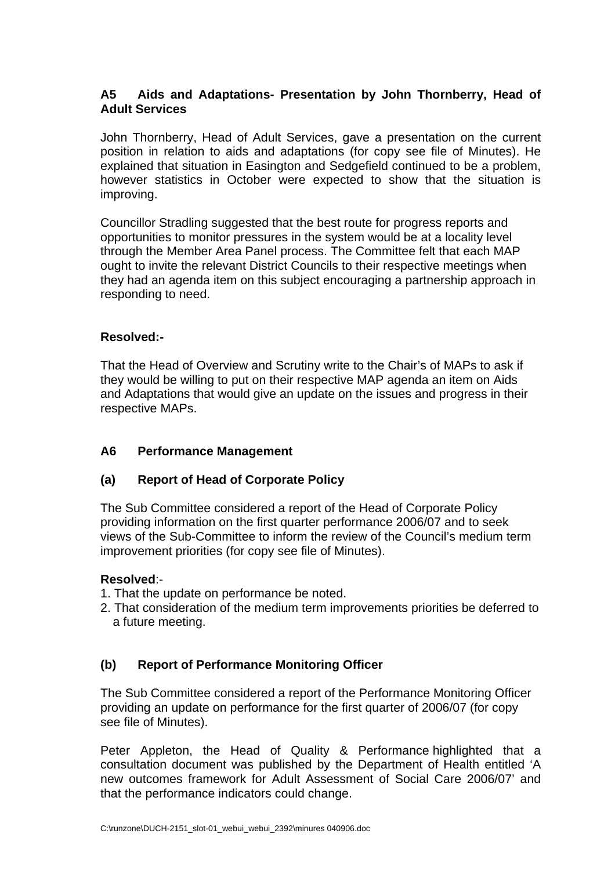# **A5 Aids and Adaptations- Presentation by John Thornberry, Head of Adult Services**

John Thornberry, Head of Adult Services, gave a presentation on the current position in relation to aids and adaptations (for copy see file of Minutes). He explained that situation in Easington and Sedgefield continued to be a problem, however statistics in October were expected to show that the situation is improving.

Councillor Stradling suggested that the best route for progress reports and opportunities to monitor pressures in the system would be at a locality level through the Member Area Panel process. The Committee felt that each MAP ought to invite the relevant District Councils to their respective meetings when they had an agenda item on this subject encouraging a partnership approach in responding to need.

# **Resolved:-**

That the Head of Overview and Scrutiny write to the Chair's of MAPs to ask if they would be willing to put on their respective MAP agenda an item on Aids and Adaptations that would give an update on the issues and progress in their respective MAPs.

# **A6 Performance Management**

# **(a) Report of Head of Corporate Policy**

The Sub Committee considered a report of the Head of Corporate Policy providing information on the first quarter performance 2006/07 and to seek views of the Sub-Committee to inform the review of the Council's medium term improvement priorities (for copy see file of Minutes).

# **Resolved**:-

- 1. That the update on performance be noted.
- 2. That consideration of the medium term improvements priorities be deferred to a future meeting.

# **(b) Report of Performance Monitoring Officer**

The Sub Committee considered a report of the Performance Monitoring Officer providing an update on performance for the first quarter of 2006/07 (for copy see file of Minutes).

Peter Appleton, the Head of Quality & Performance highlighted that a consultation document was published by the Department of Health entitled 'A new outcomes framework for Adult Assessment of Social Care 2006/07' and that the performance indicators could change.